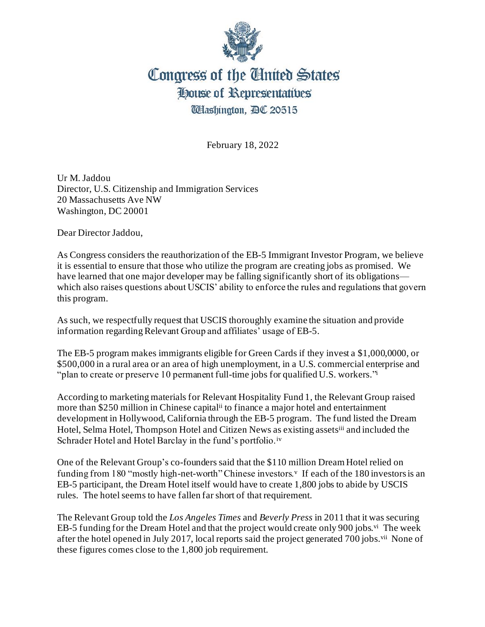

## Congress of the Cinited States House of Representatives **UHashington, BC 20515**

February 18, 2022

Ur M. Jaddou Director, U.S. Citizenship and Immigration Services 20 Massachusetts Ave NW Washington, DC 20001

Dear Director Jaddou,

As Congress considers the reauthorization of the EB-5 Immigrant Investor Program, we believe it is essential to ensure that those who utilize the program are creating jobs as promised. We have learned that one major developer may be falling significantly short of its obligations which also raises questions about USCIS' ability to enforce the rules and regulations that govern this program.

As such, we respectfully request that USCIS thoroughly examine the situation and provide information regarding Relevant Group and affiliates' usage of EB-5.

The EB-5 program makes immigrants eligible for Green Cards if they invest a \$1,000,0000, or \$500,000 in a rural area or an area of high unemployment, in a U.S. commercial enterprise and "plan to create or preserve 10 permanent full-time jobs for qualified U.S. workers."

According to marketing materials for Relevant Hospitality Fund 1, the Relevant Group raised more than \$250 million in Chinese capitalii to finance a major hotel and entertainment development in Hollywood, California through the EB-5 program. The fund listed the Dream Hotel, Selma Hotel, Thompson Hotel and Citizen News as existing assets<sup>iii</sup> and included the Schrader Hotel and Hotel Barclay in the fund's portfolio.<sup>iv</sup>

One of the Relevant Group's co-founders said that the \$110 million Dream Hotel relied on funding from 180 "mostly high-net-worth" Chinese investors. If each of the 180 investors is an EB-5 participant, the Dream Hotel itself would have to create 1,800 jobs to abide by USCIS rules. The hotel seems to have fallen far short of that requirement.

The Relevant Group told the *Los Angeles Times* and *Beverly Press* in 2011 that it was securing EB-5 funding for the Dream Hotel and that the project would create only 900 jobs.<sup>vi</sup> The week after the hotel opened in July 2017, local reports said the project generated 700 jobs.<sup>vii</sup> None of these figures comes close to the 1,800 job requirement.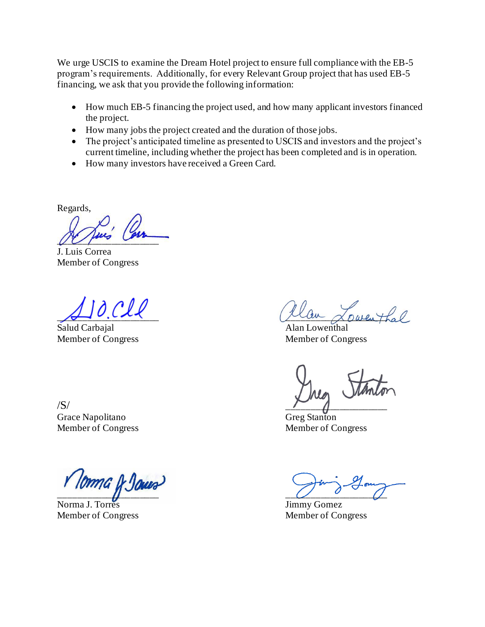We urge USCIS to examine the Dream Hotel project to ensure full compliance with the EB-5 program's requirements. Additionally, for every Relevant Group project that has used EB-5 financing, we ask that you provide the following information:

- How much EB-5 financing the project used, and how many applicant investors financed the project.
- How many jobs the project created and the duration of those jobs.
- The project's anticipated timeline as presented to USCIS and investors and the project's current timeline, including whether the project has been completed and is in operation.
- How many investors have received a Green Card.

Regards,

 $U U \mu$ 

J. Luis Correa Member of Congress

Salud Carbajal **Alan Lowenthal** Alan Lowenthal

Grace Napolitano Greg Stanton

Norma J. Torres Jimmy Gomez Member of Congress Member of Congress

 $\overline{\mathscr{A}}$  under  $\overline{\mathscr{A}}$  over  $\overline{\mathscr{A}}$  over  $\overline{\mathscr{A}}$ 

Member of Congress Member of Congress

 $\sqrt{S}$ /

Member of Congress Member of Congress

 $\overline{\mathcal{Q}}$   $\overline{\mathcal{Q}}$   $\overline{\mathcal{Q}}$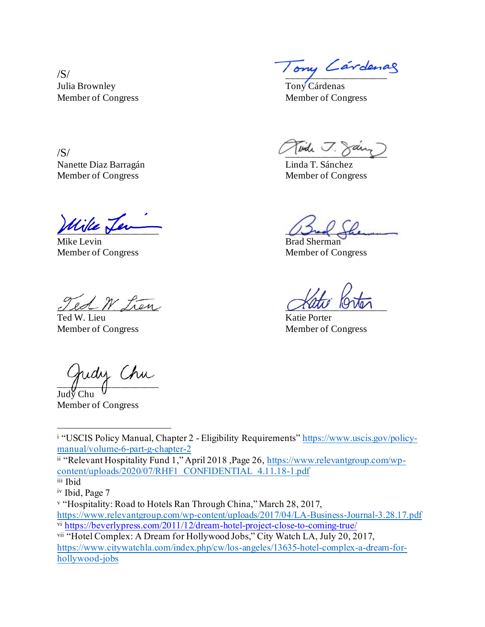Julia Brownley Tony Cárdenas Member of Congress Member of Congress

Nanette Diaz Barragán **Linda T. Sánchez** Member of Congress Member of Congress

Uike <u>Len</u>

Mike Levin Brad Sherman

 $\mathcal{L}$  and  $\mathcal{L}$  the state of  $\mathcal{L}$ 

Ted W. Lieu

udy Chu

Judy Chu Member of Congress

 $\pi$ /S/

 $/S/$ 

Member of Congress Member of Congress

Member of Congress Member of Congress

<sup>i</sup> "USCIS Policy Manual, Chapter 2 - Eligibility Requirements" [https://www.uscis.gov/policy](https://www.uscis.gov/policy-manual/volume-6-part-g-chapter-2)[manual/volume-6-part-g-chapter-2](https://www.uscis.gov/policy-manual/volume-6-part-g-chapter-2)

ii "Relevant Hospitality Fund 1," April 2018 , Page 26, [https://www.relevantgroup.com/wp](https://www.relevantgroup.com/wp-content/uploads/2020/07/RHF1_CONFIDENTIAL_4.11.18-1.pdf)[content/uploads/2020/07/RHF1\\_CONFIDENTIAL\\_4.11.18-1.pdf](https://www.relevantgroup.com/wp-content/uploads/2020/07/RHF1_CONFIDENTIAL_4.11.18-1.pdf)

<sup>v</sup> "Hospitality: Road to Hotels Ran Through China," March 28, 2017,

<https://www.relevantgroup.com/wp-content/uploads/2017/04/LA-Business-Journal-3.28.17.pdf> vi <https://beverlypress.com/2011/12/dream-hotel-project-close-to-coming-true/>

vii "Hotel Complex: A Dream for Hollywood Jobs," City Watch LA, July 20, 2017, [https://www.citywatchla.com/index.php/cw/los-angeles/13635-hotel-complex-a-dream-for](https://www.citywatchla.com/index.php/cw/los-angeles/13635-hotel-complex-a-dream-for-hollywood-jobs)[hollywood-jobs](https://www.citywatchla.com/index.php/cw/los-angeles/13635-hotel-complex-a-dream-for-hollywood-jobs)

iii Ibid

iv Ibid, Page 7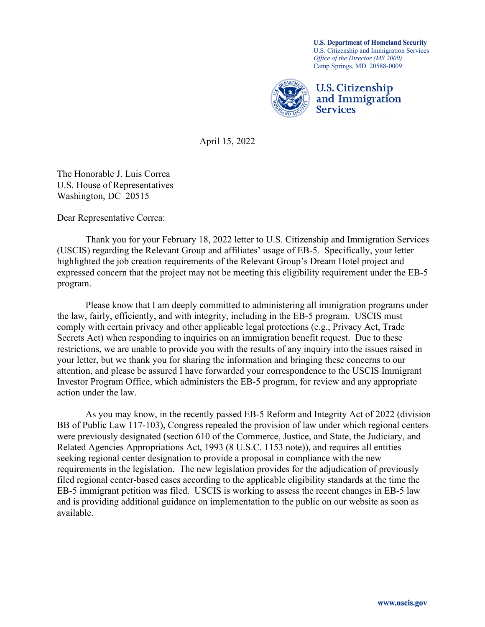**U.S. Department of Homeland Security** U.S. Citizenship and Immigration Services *Office of the Director (MS 2000)* Camp Springs, MD 20588-0009



April 15, 2022

The Honorable J. Luis Correa U.S. House of Representatives Washington, DC 20515

Dear Representative Correa:

Thank you for your February 18, 2022 letter to U.S. Citizenship and Immigration Services (USCIS) regarding the Relevant Group and affiliates' usage of EB-5. Specifically, your letter highlighted the job creation requirements of the Relevant Group's Dream Hotel project and expressed concern that the project may not be meeting this eligibility requirement under the EB-5 program.

Please know that I am deeply committed to administering all immigration programs under the law, fairly, efficiently, and with integrity, including in the EB-5 program. USCIS must comply with certain privacy and other applicable legal protections (e.g., Privacy Act, Trade Secrets Act) when responding to inquiries on an immigration benefit request. Due to these restrictions, we are unable to provide you with the results of any inquiry into the issues raised in your letter, but we thank you for sharing the information and bringing these concerns to our attention, and please be assured I have forwarded your correspondence to the USCIS Immigrant Investor Program Office, which administers the EB-5 program, for review and any appropriate action under the law.

As you may know, in the recently passed EB-5 Reform and Integrity Act of 2022 (division BB of Public Law 117-103), Congress repealed the provision of law under which regional centers were previously designated (section 610 of the Commerce, Justice, and State, the Judiciary, and Related Agencies Appropriations Act, 1993 (8 U.S.C. 1153 note)), and requires all entities seeking regional center designation to provide a proposal in compliance with the new requirements in the legislation. The new legislation provides for the adjudication of previously filed regional center-based cases according to the applicable eligibility standards at the time the EB-5 immigrant petition was filed. USCIS is working to assess the recent changes in EB-5 law and is providing additional guidance on implementation to the public on our website as soon as available.